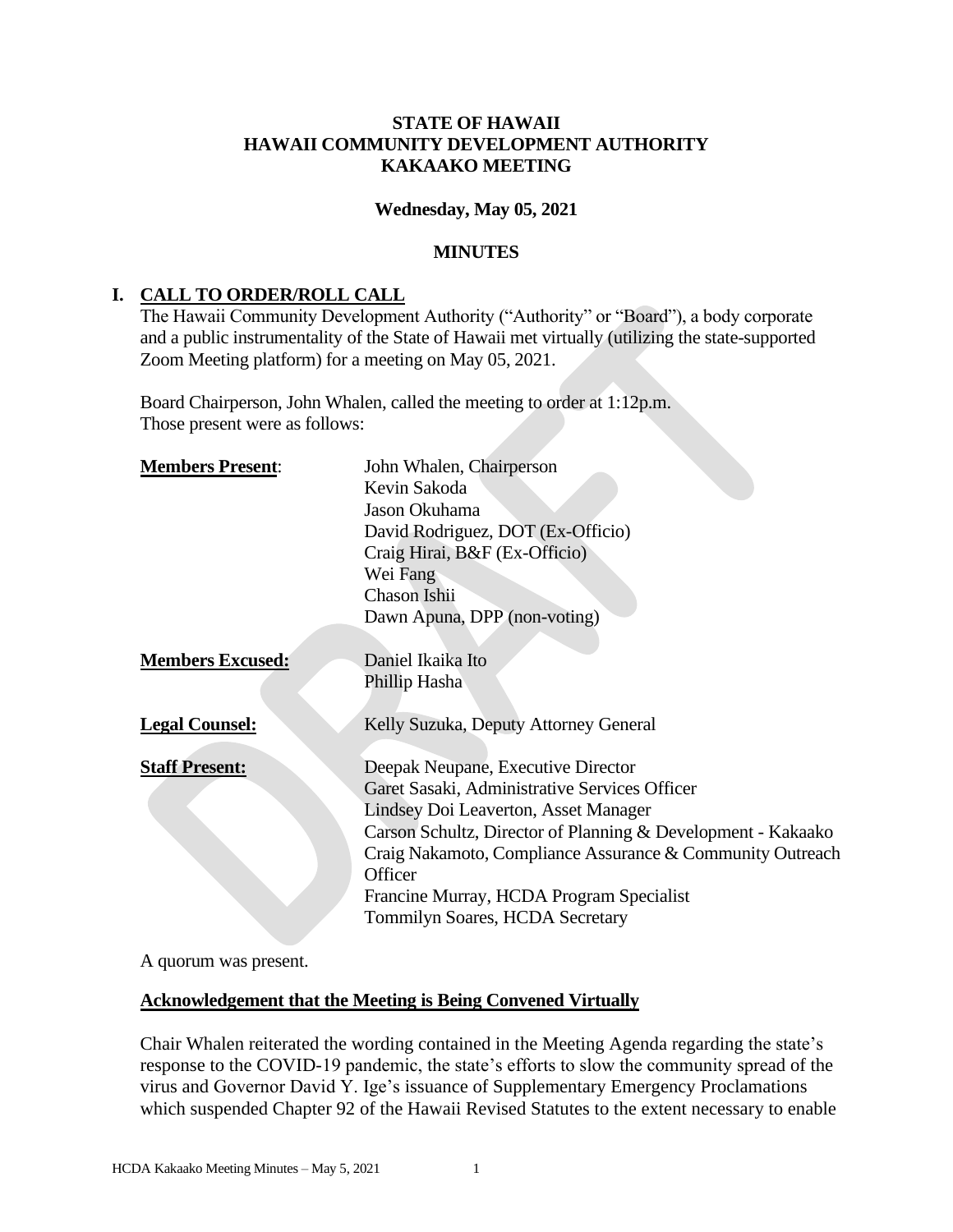## **STATE OF HAWAII HAWAII COMMUNITY DEVELOPMENT AUTHORITY KAKAAKO MEETING**

#### **Wednesday, May 05, 2021**

#### **MINUTES**

# **I. CALL TO ORDER/ROLL CALL**

The Hawaii Community Development Authority ("Authority" or "Board"), a body corporate and a public instrumentality of the State of Hawaii met virtually (utilizing the state-supported Zoom Meeting platform) for a meeting on May 05, 2021.

Board Chairperson, John Whalen, called the meeting to order at 1:12p.m. Those present were as follows:

| <b>Members Present:</b> | John Whalen, Chairperson                                     |
|-------------------------|--------------------------------------------------------------|
|                         | Kevin Sakoda                                                 |
|                         | Jason Okuhama                                                |
|                         | David Rodriguez, DOT (Ex-Officio)                            |
|                         | Craig Hirai, B&F (Ex-Officio)                                |
|                         | Wei Fang                                                     |
|                         | Chason Ishii                                                 |
|                         | Dawn Apuna, DPP (non-voting)                                 |
|                         |                                                              |
| <b>Members Excused:</b> | Daniel Ikaika Ito                                            |
|                         | Phillip Hasha                                                |
|                         |                                                              |
| <b>Legal Counsel:</b>   | Kelly Suzuka, Deputy Attorney General                        |
|                         |                                                              |
| <b>Staff Present:</b>   | Deepak Neupane, Executive Director                           |
|                         | Garet Sasaki, Administrative Services Officer                |
|                         | Lindsey Doi Leaverton, Asset Manager                         |
|                         | Carson Schultz, Director of Planning & Development - Kakaako |
|                         | Craig Nakamoto, Compliance Assurance & Community Outreach    |
|                         | Officer                                                      |
|                         | Francine Murray, HCDA Program Specialist                     |
|                         | Tommilyn Soares, HCDA Secretary                              |
|                         |                                                              |

A quorum was present.

## **Acknowledgement that the Meeting is Being Convened Virtually**

Chair Whalen reiterated the wording contained in the Meeting Agenda regarding the state's response to the COVID-19 pandemic, the state's efforts to slow the community spread of the virus and Governor David Y. Ige's issuance of Supplementary Emergency Proclamations which suspended Chapter 92 of the Hawaii Revised Statutes to the extent necessary to enable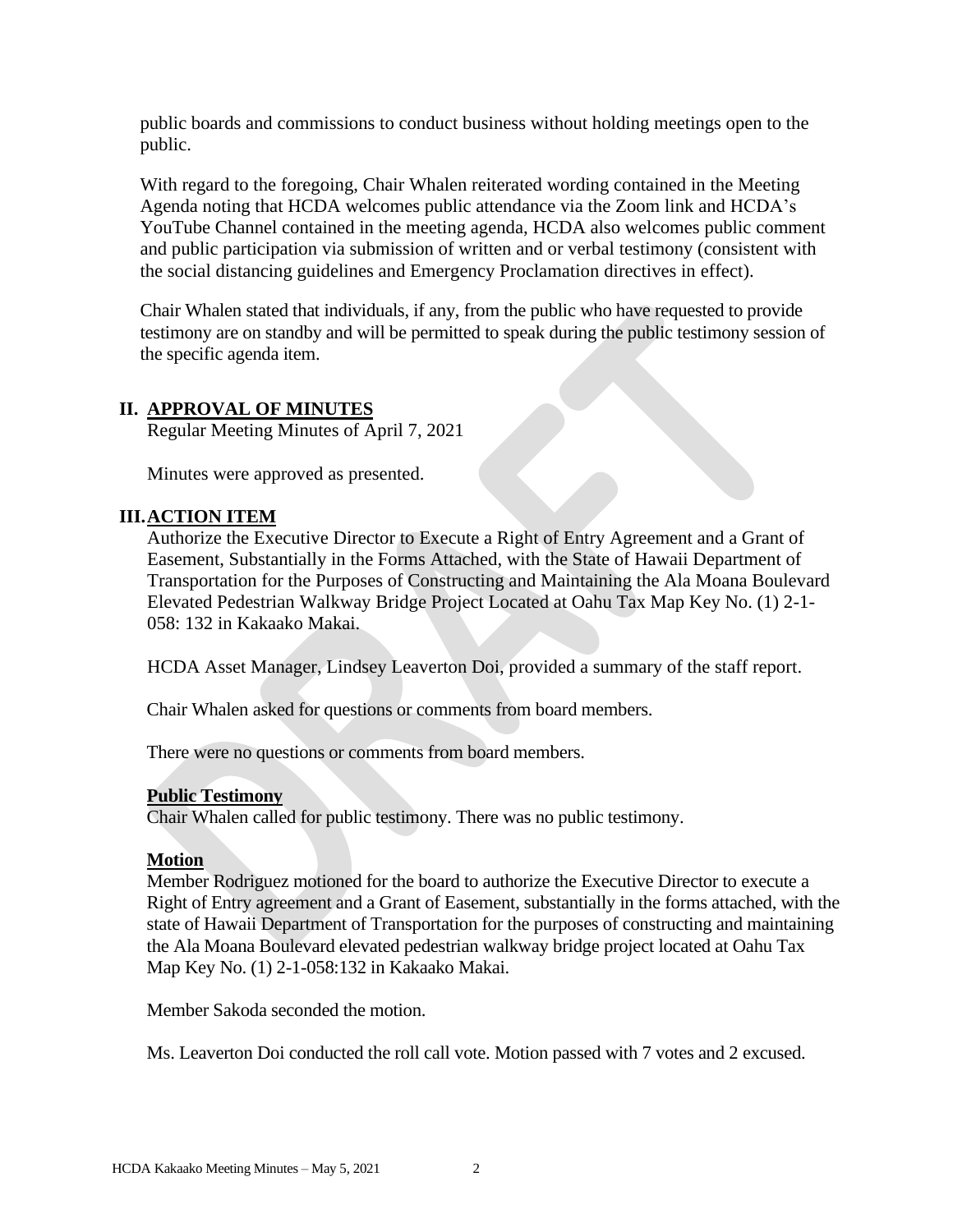public boards and commissions to conduct business without holding meetings open to the public.

With regard to the foregoing, Chair Whalen reiterated wording contained in the Meeting Agenda noting that HCDA welcomes public attendance via the Zoom link and HCDA's YouTube Channel contained in the meeting agenda, HCDA also welcomes public comment and public participation via submission of written and or verbal testimony (consistent with the social distancing guidelines and Emergency Proclamation directives in effect).

Chair Whalen stated that individuals, if any, from the public who have requested to provide testimony are on standby and will be permitted to speak during the public testimony session of the specific agenda item.

## **II. APPROVAL OF MINUTES**

Regular Meeting Minutes of April 7, 2021

Minutes were approved as presented.

#### **III.ACTION ITEM**

Authorize the Executive Director to Execute a Right of Entry Agreement and a Grant of Easement, Substantially in the Forms Attached, with the State of Hawaii Department of Transportation for the Purposes of Constructing and Maintaining the Ala Moana Boulevard Elevated Pedestrian Walkway Bridge Project Located at Oahu Tax Map Key No. (1) 2-1- 058: 132 in Kakaako Makai.

HCDA Asset Manager, Lindsey Leaverton Doi, provided a summary of the staff report.

Chair Whalen asked for questions or comments from board members.

There were no questions or comments from board members.

#### **Public Testimony**

Chair Whalen called for public testimony. There was no public testimony.

#### **Motion**

Member Rodriguez motioned for the board to authorize the Executive Director to execute a Right of Entry agreement and a Grant of Easement, substantially in the forms attached, with the state of Hawaii Department of Transportation for the purposes of constructing and maintaining the Ala Moana Boulevard elevated pedestrian walkway bridge project located at Oahu Tax Map Key No. (1) 2-1-058:132 in Kakaako Makai.

Member Sakoda seconded the motion.

Ms. Leaverton Doi conducted the roll call vote. Motion passed with 7 votes and 2 excused.